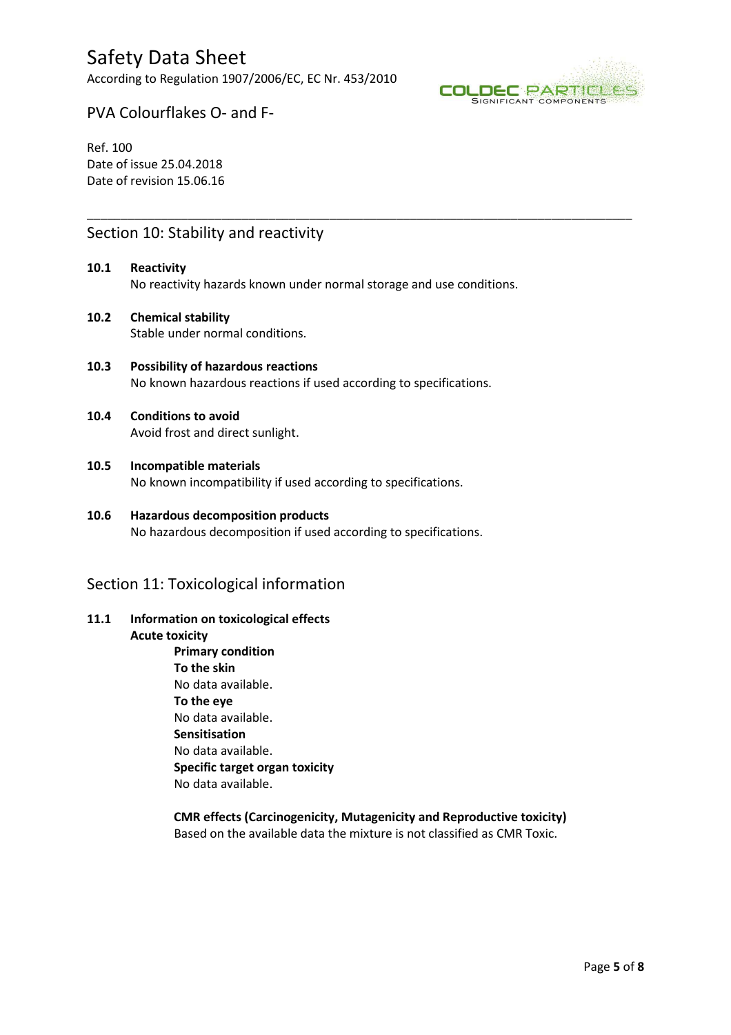According to Regulation 1907/2006/EC, EC Nr. 453/2010



Granuflakes Ref. 100 Date of revision 01/06/2021

# Section 10: Stability and reactivity

**10.1 Reactivity**  No reactivity hazards known under normal storage and use conditions.

\_\_\_\_\_\_\_\_\_\_\_\_\_\_\_\_\_\_\_\_\_\_\_\_\_\_\_\_\_\_\_\_\_\_\_\_\_\_\_\_\_\_\_\_\_\_\_\_\_\_\_\_\_\_\_\_\_\_\_\_\_\_\_\_\_\_\_\_\_\_\_\_\_\_\_\_\_\_\_\_\_

- **10.2 Chemical stability**  Stable under normal conditions.
- **10.3 Possibility of hazardous reactions**  No known hazardous reactions if used according to specifications.

#### **10.4 Conditions to avoid**  Avoid frost and direct sunlight.

- **10.5 Incompatible materials**  No known incompatibility if used according to specifications.
- **10.6 Hazardous decomposition products**  No hazardous decomposition if used according to specifications.

### Section 11: Toxicological information

# **11.1 Information on toxicological effects**

**Acute toxicity** 

**Primary condition To the skin**  No data available. **To the eye**  No data available. **Sensitisation**  No data available. **Specific target organ toxicity**  No data available.

#### **CMR effects (Carcinogenicity, Mutagenicity and Reproductive toxicity)**  Based on the available data the mixture is not classified as CMR Toxic.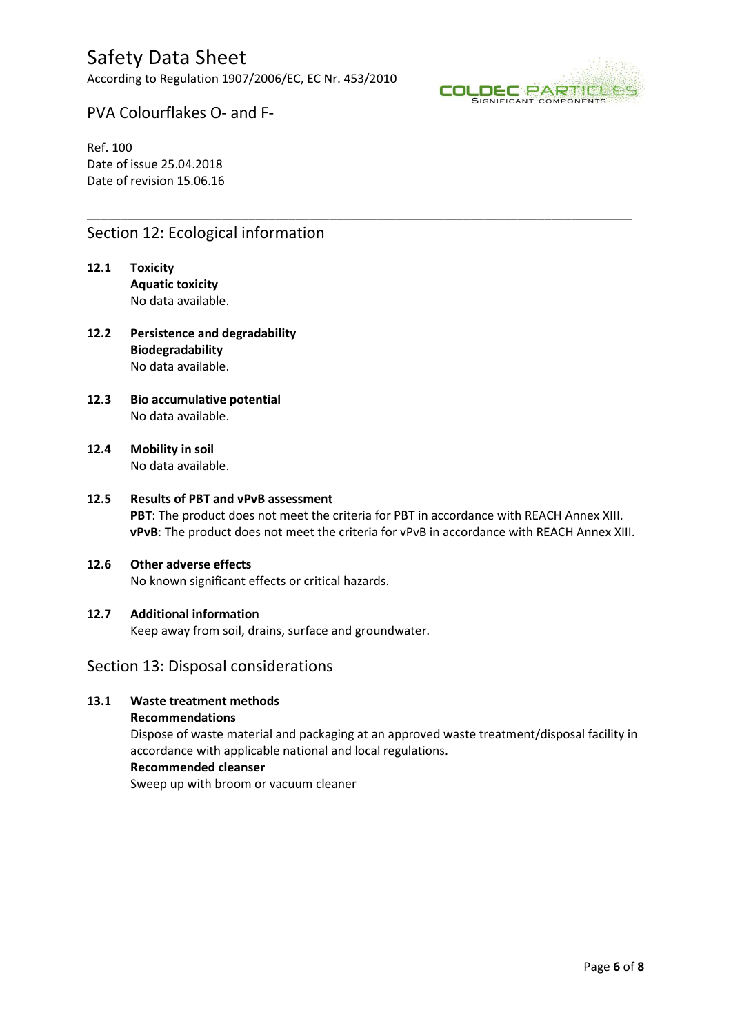According to Regulation 1907/2006/EC, EC Nr. 453/2010



Granuflakes Ref. 100 Date of revision 01/06/2021

# Section 12: Ecological information

- **12.1 Toxicity Aquatic toxicity**  No data available.
- **12.2 Persistence and degradability Biodegradability**  No data available.
- **12.3 Bio accumulative potential**  No data available.
- **12.4 Mobility in soil**  No data available.

# **12.5 Results of PBT and vPvB assessment**

**PBT**: The product does not meet the criteria for PBT in accordance with REACH Annex XIII. **vPvB**: The product does not meet the criteria for vPvB in accordance with REACH Annex XIII.

\_\_\_\_\_\_\_\_\_\_\_\_\_\_\_\_\_\_\_\_\_\_\_\_\_\_\_\_\_\_\_\_\_\_\_\_\_\_\_\_\_\_\_\_\_\_\_\_\_\_\_\_\_\_\_\_\_\_\_\_\_\_\_\_\_\_\_\_\_\_\_\_\_\_\_\_\_\_\_\_\_

#### **12.6 Other adverse effects**

No known significant effects or critical hazards.

#### **12.7 Additional information**

Keep away from soil, drains, surface and groundwater.

#### Section 13: Disposal considerations

# **13.1 Waste treatment methods**

**Recommendations** 

Dispose of waste material and packaging at an approved waste treatment/disposal facility in accordance with applicable national and local regulations.

### **Recommended cleanser**

Sweep up with broom or vacuum cleaner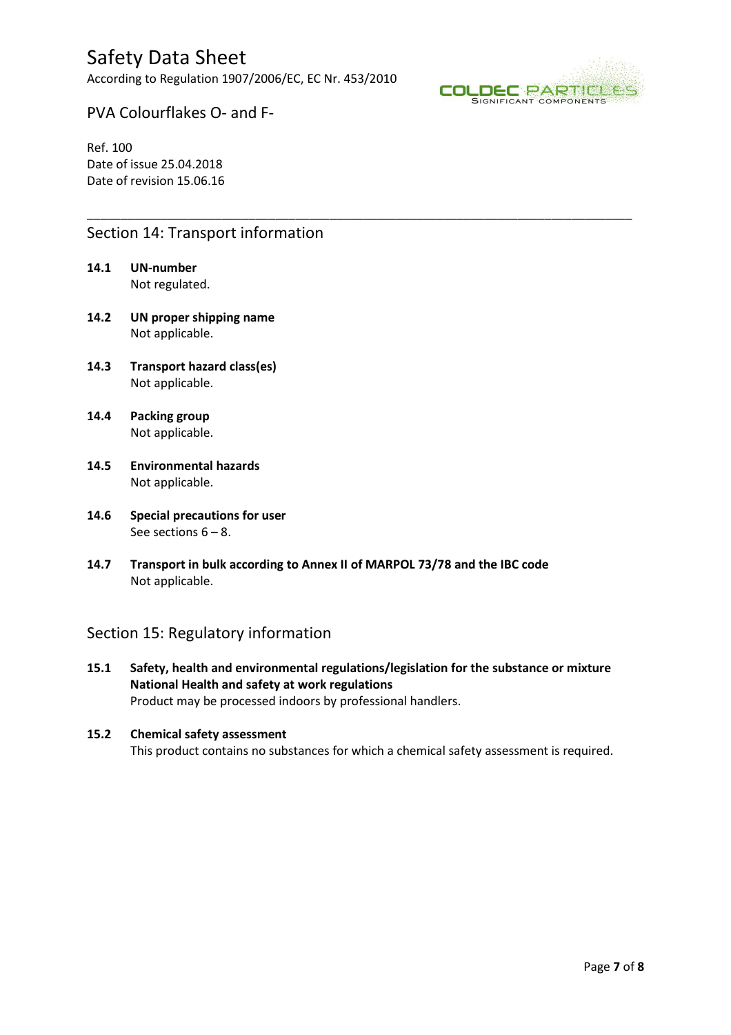According to Regulation 1907/2006/EC, EC Nr. 453/2010



Granuflakes Ref. 100 Date of revision 01/06/2021

### Section 14: Transport information

- **14.1 UN-number**  Not regulated.
- **14.2 UN proper shipping name**  Not applicable.
- **14.3 Transport hazard class(es)**  Not applicable.
- **14.4 Packing group**  Not applicable.
- **14.5 Environmental hazards**  Not applicable.
- **14.6 Special precautions for user**  See sections  $6 - 8$ .
- **14.7 Transport in bulk according to Annex II of MARPOL 73/78 and the IBC code**  Not applicable.

### Section 15: Regulatory information

**15.1 Safety, health and environmental regulations/legislation for the substance or mixture National Health and safety at work regulations**  Product may be processed indoors by professional handlers.

\_\_\_\_\_\_\_\_\_\_\_\_\_\_\_\_\_\_\_\_\_\_\_\_\_\_\_\_\_\_\_\_\_\_\_\_\_\_\_\_\_\_\_\_\_\_\_\_\_\_\_\_\_\_\_\_\_\_\_\_\_\_\_\_\_\_\_\_\_\_\_\_\_\_\_\_\_\_\_\_\_

#### **15.2 Chemical safety assessment**  This product contains no substances for which a chemical safety assessment is required.